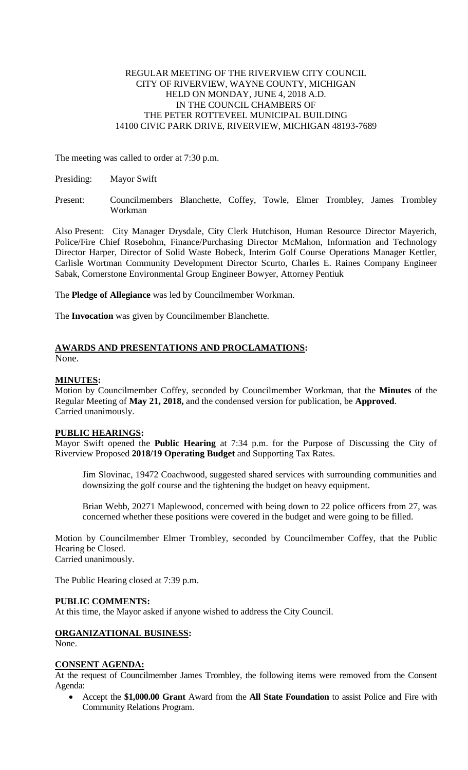# REGULAR MEETING OF THE RIVERVIEW CITY COUNCIL CITY OF RIVERVIEW, WAYNE COUNTY, MICHIGAN HELD ON MONDAY, JUNE 4, 2018 A.D. IN THE COUNCIL CHAMBERS OF THE PETER ROTTEVEEL MUNICIPAL BUILDING 14100 CIVIC PARK DRIVE, RIVERVIEW, MICHIGAN 48193-7689

The meeting was called to order at 7:30 p.m.

Presiding: Mayor Swift

Present: Councilmembers Blanchette, Coffey, Towle, Elmer Trombley, James Trombley Workman

Also Present: City Manager Drysdale, City Clerk Hutchison, Human Resource Director Mayerich, Police/Fire Chief Rosebohm, Finance/Purchasing Director McMahon, Information and Technology Director Harper, Director of Solid Waste Bobeck, Interim Golf Course Operations Manager Kettler, Carlisle Wortman Community Development Director Scurto, Charles E. Raines Company Engineer Sabak, Cornerstone Environmental Group Engineer Bowyer, Attorney Pentiuk

The **Pledge of Allegiance** was led by Councilmember Workman.

The **Invocation** was given by Councilmember Blanchette.

# **AWARDS AND PRESENTATIONS AND PROCLAMATIONS:**

None.

# **MINUTES:**

Motion by Councilmember Coffey, seconded by Councilmember Workman, that the **Minutes** of the Regular Meeting of **May 21, 2018,** and the condensed version for publication, be **Approved**. Carried unanimously.

# **PUBLIC HEARINGS:**

Mayor Swift opened the **Public Hearing** at 7:34 p.m. for the Purpose of Discussing the City of Riverview Proposed **2018/19 Operating Budget** and Supporting Tax Rates.

Jim Slovinac, 19472 Coachwood, suggested shared services with surrounding communities and downsizing the golf course and the tightening the budget on heavy equipment.

Brian Webb, 20271 Maplewood, concerned with being down to 22 police officers from 27, was concerned whether these positions were covered in the budget and were going to be filled.

Motion by Councilmember Elmer Trombley, seconded by Councilmember Coffey, that the Public Hearing be Closed. Carried unanimously.

The Public Hearing closed at 7:39 p.m.

# **PUBLIC COMMENTS:**

At this time, the Mayor asked if anyone wished to address the City Council.

# **ORGANIZATIONAL BUSINESS:**

None.

## **CONSENT AGENDA:**

At the request of Councilmember James Trombley, the following items were removed from the Consent Agenda:

 Accept the **\$1,000.00 Grant** Award from the **All State Foundation** to assist Police and Fire with Community Relations Program.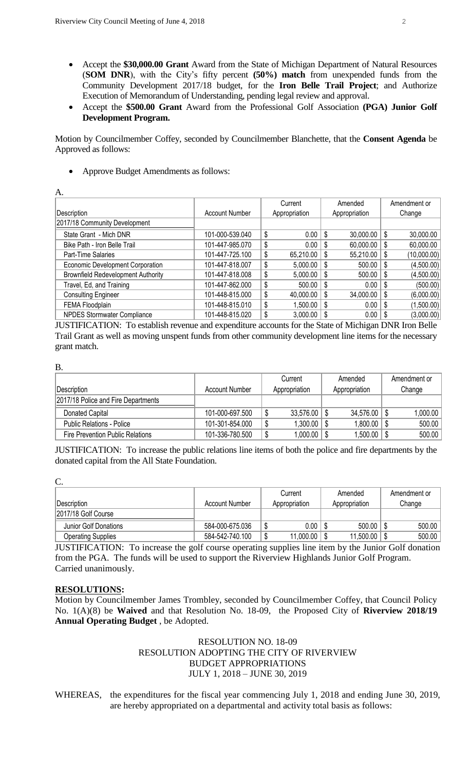- Accept the **\$30,000.00 Grant** Award from the State of Michigan Department of Natural Resources (**SOM DNR**), with the City's fifty percent **(50%) match** from unexpended funds from the Community Development 2017/18 budget, for the **Iron Belle Trail Project**; and Authorize Execution of Memorandum of Understanding, pending legal review and approval.
- Accept the **\$500.00 Grant** Award from the Professional Golf Association **(PGA) Junior Golf Development Program.**

Motion by Councilmember Coffey, seconded by Councilmember Blanchette, that the **Consent Agenda** be Approved as follows:

• Approve Budget Amendments as follows:

|                                           |                       |    | Current       |      | Amended       |    | Amendment or |
|-------------------------------------------|-----------------------|----|---------------|------|---------------|----|--------------|
| Description                               | <b>Account Number</b> |    | Appropriation |      | Appropriation |    | Change       |
| 2017/18 Community Development             |                       |    |               |      |               |    |              |
| State Grant - Mich DNR                    | 101-000-539.040       | \$ | 0.00          | -\$  | 30,000.00     | \$ | 30,000.00    |
| Bike Path - Iron Belle Trail              | 101-447-985.070       | \$ | 0.00          | - \$ | 60,000.00     | S  | 60,000.00    |
| Part-Time Salaries                        | 101-447-725.100       | \$ | 65,210.00     | - \$ | 55,210.00     | \$ | (10,000.00)  |
| Economic Development Corporation          | 101-447-818.007       | \$ | 5,000.00      | - \$ | 500.00        | \$ | (4,500.00)   |
| <b>Brownfield Redevelopment Authority</b> | 101-447-818.008       | \$ | 5,000.00      | - \$ | 500.00        | \$ | (4,500.00)   |
| Travel, Ed, and Training                  | 101-447-862.000       | \$ | 500.00        | - \$ | 0.00          | S  | (500.00)     |
| <b>Consulting Engineer</b>                | 101-448-815.000       | \$ | 40,000.00     | - \$ | 34,000.00     | \$ | (6,000.00)   |
| FEMA Floodplain                           | 101-448-815.010       | S  | 1,500.00      | \$   | 0.00          | Ŝ. | (1,500.00)   |
| NPDES Stormwater Compliance               | 101-448-815.020       | \$ | 3,000.00      | l \$ | $0.00$   \$   |    | (3,000.00)   |

JUSTIFICATION: To establish revenue and expenditure accounts for the State of Michigan DNR Iron Belle Trail Grant as well as moving unspent funds from other community development line items for the necessary grant match.

| ×       |  |
|---------|--|
| v.      |  |
| I<br>۰. |  |

|                                     |                 | Current       | Amended          | Amendment or |
|-------------------------------------|-----------------|---------------|------------------|--------------|
| Description                         | Account Number  | Appropriation | Appropriation    | Change       |
| 2017/18 Police and Fire Departments |                 |               |                  |              |
| Donated Capital                     | 101-000-697.500 | 33,576.00     | $34,576.00$   \$ | 1,000.00     |
| <b>Public Relations - Police</b>    | 101-301-854.000 | 1,300.00      | $1,800.00$   \$  | 500.00       |
| Fire Prevention Public Relations    | 101-336-780.500 | 1,000.00      | $1,500.00$   \$  | 500.00       |

JUSTIFICATION: To increase the public relations line items of both the police and fire departments by the donated capital from the All State Foundation.

| ۰.                  |              |        |
|---------------------|--------------|--------|
| ć,<br>ı<br>٠<br>. . | v<br>۰.<br>٠ | $\sim$ |

| Description               | Account Number  |   | Current<br>Appropriation | Amended<br>Appropriation |   | Amendment or<br>Change |
|---------------------------|-----------------|---|--------------------------|--------------------------|---|------------------------|
| 2017/18 Golf Course       |                 |   |                          |                          |   |                        |
| Junior Golf Donations     | 584-000-675.036 |   | $0.00\,$                 | 500.00                   |   | 500.00                 |
| <b>Operating Supplies</b> | 584-542-740.100 | œ | 11,000.00                | \$<br>11,500.00          | S | 500.00                 |

JUSTIFICATION: To increase the golf course operating supplies line item by the Junior Golf donation from the PGA. The funds will be used to support the Riverview Highlands Junior Golf Program. Carried unanimously.

## **RESOLUTIONS:**

Motion by Councilmember James Trombley, seconded by Councilmember Coffey, that Council Policy No. 1(A)(8) be **Waived** and that Resolution No. 18-09, the Proposed City of **Riverview 2018/19 Annual Operating Budget** , be Adopted.

# RESOLUTION NO. 18-09 RESOLUTION ADOPTING THE CITY OF RIVERVIEW BUDGET APPROPRIATIONS JULY 1, 2018 – JUNE 30, 2019

WHEREAS, the expenditures for the fiscal year commencing July 1, 2018 and ending June 30, 2019, are hereby appropriated on a departmental and activity total basis as follows: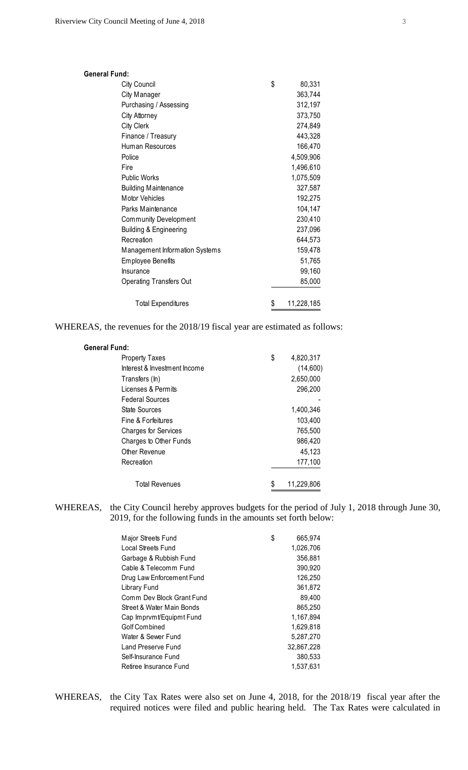| <b>General Fund:</b>              |                  |
|-----------------------------------|------------------|
| City Council                      | \$<br>80,331     |
| City Manager                      | 363,744          |
| Purchasing / Assessing            | 312,197          |
| <b>City Attorney</b>              | 373,750          |
| City Clerk                        | 274,849          |
| Finance / Treasury                | 443,328          |
| Human Resources                   | 166,470          |
| Police                            | 4,509,906        |
| Fire                              | 1,496,610        |
| Public Works                      | 1,075,509        |
| <b>Building Maintenance</b>       | 327,587          |
| <b>Motor Vehicles</b>             | 192,275          |
| Parks Maintenance                 | 104,147          |
| Community Development             | 230,410          |
| <b>Building &amp; Engineering</b> | 237,096          |
| Recreation                        | 644,573          |
| Management Information Systems    | 159,478          |
| <b>Employee Benefits</b>          | 51,765           |
| <b>Insurance</b>                  | 99,160           |
| <b>Operating Transfers Out</b>    | 85,000           |
| <b>Total Expenditures</b>         | \$<br>11,228,185 |

WHEREAS, the revenues for the 2018/19 fiscal year are estimated as follows:

| <b>General Fund:</b>         |                 |
|------------------------------|-----------------|
| <b>Property Taxes</b>        | \$<br>4,820,317 |
| Interest & Investment Income | (14,600)        |
| Transfers (In)               | 2,650,000       |
| Licenses & Permits           | 296,200         |
| <b>Federal Sources</b>       |                 |
| State Sources                | 1,400,346       |
| Fine & Forfeitures           | 103,400         |
| <b>Charges for Services</b>  | 765,500         |
| Charges to Other Funds       | 986,420         |
| Other Revenue                | 45,123          |
| Recreation                   | 177,100         |
| <b>Total Revenues</b>        | 11,229,806      |

WHEREAS, the City Council hereby approves budgets for the period of July 1, 2018 through June 30, 2019, for the following funds in the amounts set forth below:

| Major Streets Fund        | \$<br>665,974 |
|---------------------------|---------------|
| Local Streets Fund        | 1,026,706     |
| Garbage & Rubbish Fund    | 356,881       |
| Cable & Telecomm Fund     | 390,920       |
| Drug Law Enforcement Fund | 126.250       |
| Library Fund              | 361,872       |
| Comm Dev Block Grant Fund | 89,400        |
| Street & Water Main Bonds | 865,250       |
| Cap Imprvmt/Equipmt Fund  | 1,167,894     |
| Golf Combined             | 1,629,818     |
| Water & Sewer Fund        | 5.287.270     |
| Land Preserve Fund        | 32,867,228    |
| Self-Insurance Fund       | 380,533       |
| Retiree Insurance Fund    | 1,537,631     |

WHEREAS, the City Tax Rates were also set on June 4, 2018, for the 2018/19 fiscal year after the required notices were filed and public hearing held. The Tax Rates were calculated in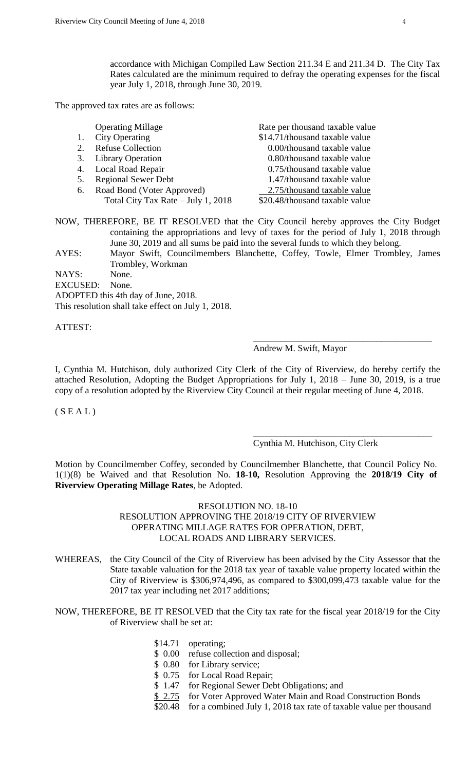accordance with Michigan Compiled Law Section 211.34 E and 211.34 D. The City Tax Rates calculated are the minimum required to defray the operating expenses for the fiscal year July 1, 2018, through June 30, 2019.

The approved tax rates are as follows:

|    | <b>Operating Millage</b>           | Rate per thousand taxable value |
|----|------------------------------------|---------------------------------|
|    | <b>City Operating</b>              | \$14.71/thousand taxable value  |
| 2. | <b>Refuse Collection</b>           | 0.00/thousand taxable value     |
|    | 3. Library Operation               | 0.80/thousand taxable value     |
|    | 4. Local Road Repair               | 0.75/thousand taxable value     |
| 5. | <b>Regional Sewer Debt</b>         | 1.47/thousand taxable value     |
| 6. | Road Bond (Voter Approved)         | 2.75/thousand taxable value     |
|    | Total City Tax Rate - July 1, 2018 | \$20.48/thousand taxable value  |
|    |                                    |                                 |

NOW, THEREFORE, BE IT RESOLVED that the City Council hereby approves the City Budget containing the appropriations and levy of taxes for the period of July 1, 2018 through June 30, 2019 and all sums be paid into the several funds to which they belong.

AYES: Mayor Swift, Councilmembers Blanchette, Coffey, Towle, Elmer Trombley, James Trombley, Workman

NAYS: None.

EXCUSED: None.

ADOPTED this 4th day of June, 2018.

This resolution shall take effect on July 1, 2018.

ATTEST:

### Andrew M. Swift, Mayor

\_\_\_\_\_\_\_\_\_\_\_\_\_\_\_\_\_\_\_\_\_\_\_\_\_\_\_\_\_\_\_\_\_\_\_\_\_\_\_

\_\_\_\_\_\_\_\_\_\_\_\_\_\_\_\_\_\_\_\_\_\_\_\_\_\_\_\_\_\_\_\_\_\_\_\_\_\_\_

I, Cynthia M. Hutchison, duly authorized City Clerk of the City of Riverview, do hereby certify the attached Resolution, Adopting the Budget Appropriations for July 1, 2018 – June 30, 2019, is a true copy of a resolution adopted by the Riverview City Council at their regular meeting of June 4, 2018.

 $(S E A L)$ 

## Cynthia M. Hutchison, City Clerk

Motion by Councilmember Coffey, seconded by Councilmember Blanchette, that Council Policy No. 1(1)(8) be Waived and that Resolution No. **18-10,** Resolution Approving the **2018/19 City of Riverview Operating Millage Rates**, be Adopted.

# RESOLUTION NO. 18-10 RESOLUTION APPROVING THE 2018/19 CITY OF RIVERVIEW OPERATING MILLAGE RATES FOR OPERATION, DEBT, LOCAL ROADS AND LIBRARY SERVICES.

WHEREAS, the City Council of the City of Riverview has been advised by the City Assessor that the State taxable valuation for the 2018 tax year of taxable value property located within the City of Riverview is \$306,974,496, as compared to \$300,099,473 taxable value for the 2017 tax year including net 2017 additions;

NOW, THEREFORE, BE IT RESOLVED that the City tax rate for the fiscal year 2018/19 for the City of Riverview shall be set at:

- \$14.71 operating;
- \$ 0.00 refuse collection and disposal;
- \$ 0.80 for Library service;
- \$ 0.75 for Local Road Repair;
- \$ 1.47 for Regional Sewer Debt Obligations; and
- \$ 2.75 for Voter Approved Water Main and Road Construction Bonds
- \$20.48 for a combined July 1, 2018 tax rate of taxable value per thousand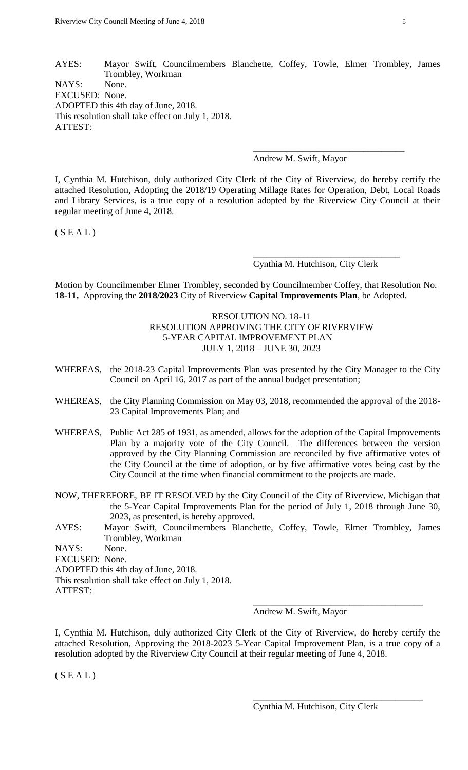AYES: Mayor Swift, Councilmembers Blanchette, Coffey, Towle, Elmer Trombley, James Trombley, Workman NAYS: None. EXCUSED: None. ADOPTED this 4th day of June, 2018. This resolution shall take effect on July 1, 2018. ATTEST:

Andrew M. Swift, Mayor

\_\_\_\_\_\_\_\_\_\_\_\_\_\_\_\_\_\_\_\_\_\_\_\_\_\_\_\_\_\_\_\_\_

I, Cynthia M. Hutchison, duly authorized City Clerk of the City of Riverview, do hereby certify the attached Resolution, Adopting the 2018/19 Operating Millage Rates for Operation, Debt, Local Roads and Library Services, is a true copy of a resolution adopted by the Riverview City Council at their regular meeting of June 4, 2018.

 $(S E A L)$ 

Cynthia M. Hutchison, City Clerk

\_\_\_\_\_\_\_\_\_\_\_\_\_\_\_\_\_\_\_\_\_\_\_\_\_\_\_\_\_\_\_\_

Motion by Councilmember Elmer Trombley, seconded by Councilmember Coffey, that Resolution No. **18-11,** Approving the **2018/2023** City of Riverview **Capital Improvements Plan**, be Adopted.

> RESOLUTION NO. 18-11 RESOLUTION APPROVING THE CITY OF RIVERVIEW 5-YEAR CAPITAL IMPROVEMENT PLAN JULY 1, 2018 – JUNE 30, 2023

- WHEREAS, the 2018-23 Capital Improvements Plan was presented by the City Manager to the City Council on April 16, 2017 as part of the annual budget presentation;
- WHEREAS, the City Planning Commission on May 03, 2018, recommended the approval of the 2018- 23 Capital Improvements Plan; and
- WHEREAS, Public Act 285 of 1931, as amended, allows for the adoption of the Capital Improvements Plan by a majority vote of the City Council. The differences between the version approved by the City Planning Commission are reconciled by five affirmative votes of the City Council at the time of adoption, or by five affirmative votes being cast by the City Council at the time when financial commitment to the projects are made.
- NOW, THEREFORE, BE IT RESOLVED by the City Council of the City of Riverview, Michigan that the 5-Year Capital Improvements Plan for the period of July 1, 2018 through June 30, 2023, as presented, is hereby approved.
- AYES: Mayor Swift, Councilmembers Blanchette, Coffey, Towle, Elmer Trombley, James Trombley, Workman

NAYS: None.

EXCUSED: None.

ADOPTED this 4th day of June, 2018.

This resolution shall take effect on July 1, 2018.

ATTEST:

Andrew M. Swift, Mayor

\_\_\_\_\_\_\_\_\_\_\_\_\_\_\_\_\_\_\_\_\_\_\_\_\_\_\_\_\_\_\_\_\_\_\_\_\_

\_\_\_\_\_\_\_\_\_\_\_\_\_\_\_\_\_\_\_\_\_\_\_\_\_\_\_\_\_\_\_\_\_\_\_\_\_

I, Cynthia M. Hutchison, duly authorized City Clerk of the City of Riverview, do hereby certify the attached Resolution, Approving the 2018-2023 5-Year Capital Improvement Plan, is a true copy of a resolution adopted by the Riverview City Council at their regular meeting of June 4, 2018.

 $(S E A L)$